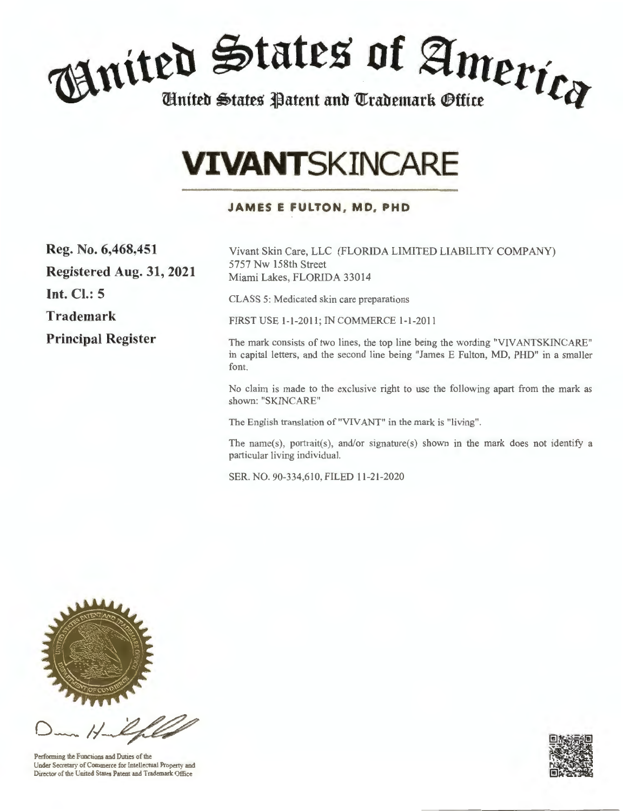

# **VIVANTSKINCARE**

#### **JAMES E FULTON, MO, PHO**

| Reg. No. 6,468,451<br>Registered Aug. 31, 2021 | Vivant Skin Care, LLC (FLORIDA LIMITED LIABILITY COMPANY)<br>5757 Nw 158th Street<br>Miami Lakes, FLORIDA 33014                                                                  |
|------------------------------------------------|----------------------------------------------------------------------------------------------------------------------------------------------------------------------------------|
| Int. $Cl.: 5$                                  | CLASS 5: Medicated skin care preparations                                                                                                                                        |
| <b>Trademark</b>                               | FIRST USE 1-1-2011; IN COMMERCE 1-1-2011                                                                                                                                         |
| <b>Principal Register</b>                      | The mark consists of two lines, the top line being the wording "VIVANTSKINCARE"<br>in capital letters, and the second line being "James E Fulton, MD, PHD" in a smaller<br>font. |
|                                                | No claim is made to the exclusive right to use the following apart from the mark as<br>shown: "SKINCARE"                                                                         |
|                                                | The English translation of "VIVANT" in the mark is "living".                                                                                                                     |
|                                                | The name(s), portrait(s), and/or signature(s) shown in the mark does not identify a<br>particular living individual.                                                             |
|                                                | SER. NO. 90-334,610, FILED 11-21-2020                                                                                                                                            |
|                                                |                                                                                                                                                                                  |



Performing the Functions and Duties of the Under Secretary of Commerce for Intellectual Property and Director of the United States Patent and Trademark Office

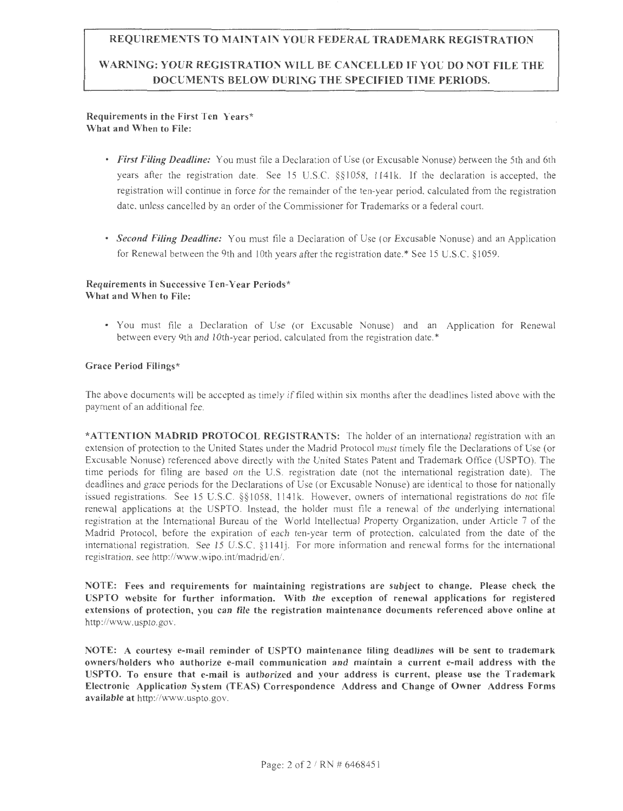#### **REQUIREMENTS TO MAINTAIN YOUR FEDERAL TRADEMARK REGISTRATION**

#### **WARNING: YOUR REGISTRATION WILL BE CANCELLED IF YOU DO NOT FILE THE**  DOCUMENTS BELOW DURING THE SPECIFIED TIME PERIODS.

#### **Requirements in the First Ten Years\* What and When to File:**

- *First Filing Deadline:* You must file a Declaration of Use (or Excusable Nonuse) between the 5th and 6th years after the registration date. See 15 U.S.C. §§ 1058, 1141k. If the declaration is accepted, the registration will continue in force for the remainder of the ten-year period, calculated from the registration date, unless cancelled by an order of the Commissioner for Trademarks or a federal court.
- *Second Filing Deadline:* You must file a Declaration of Use (or Excusable Nonuse) and an Application for Renewal between the 9th and 10th years after the registration date.\* See 15 U.S.C. §1059.

#### **Requirements in Successive Ten-Year Periods\* What and When to File:**

• You must file a Declaration of Use (or Excusable Nonuse) and an Application for Renewal between every 9th and 10th-year period, calculated from the registration date.\*

#### **Grace Period Filings\***

The above documents will be accepted as timely if filed within six months after the deadlines listed above with the payment of an additional fee.

\*ATTENTION MADRID PROTOCOL REGISTRANTS: The holder of an international registration with an extension of protection to the United States under the Madrid Protocol must timely file the Declarations of Use (or Excusable Nonuse) referenced above directly with the United States Patent and Trademark Office (USPTO). The time periods for filing are based on the U.S. registration date (not the international registration date). The deadlines and grace periods for the Declarations of Use (or Excusable Nonuse) are identical to those for nationally issued registrations. See 15 U.S.C. §§1058, 1141k. However, owners of international registrations do not file renewal applications at the USPTO. Instead, the holder must file a renewal of the underlying international registration at the International Bureau of the World Intellectual Property Organization, under Article 7 of the Madrid Protocol, before the expiration of each ten-year term of protection, calculated from the date of the international registration. See 15 U.S.C. § 114 lj. For more information and renewal forms for the international registration, see http ://www.wipo.int/madrid/en/.

**NOTE: Fees and requirements for maintaining registrations are subject to change. Please check the USPTO website for further information. With the exception of renewal applications for registered extensions of protection, you can file the registration maintenance documents referenced above online at**  http://www.uspto.gov.

NOTE: A courtesy e-mail reminder of USPTO maintenance filing deadlines will be sent to trademark owners/holders who authorize e-mail communication and maintain a current e-mail address with the USPTO. To ensure that e-mail is authorized and your address is current, please use the Trademark Electronic Application System (TEAS) Correspondence Address and Change of Owner Address Forms available at http://www.uspto.gov.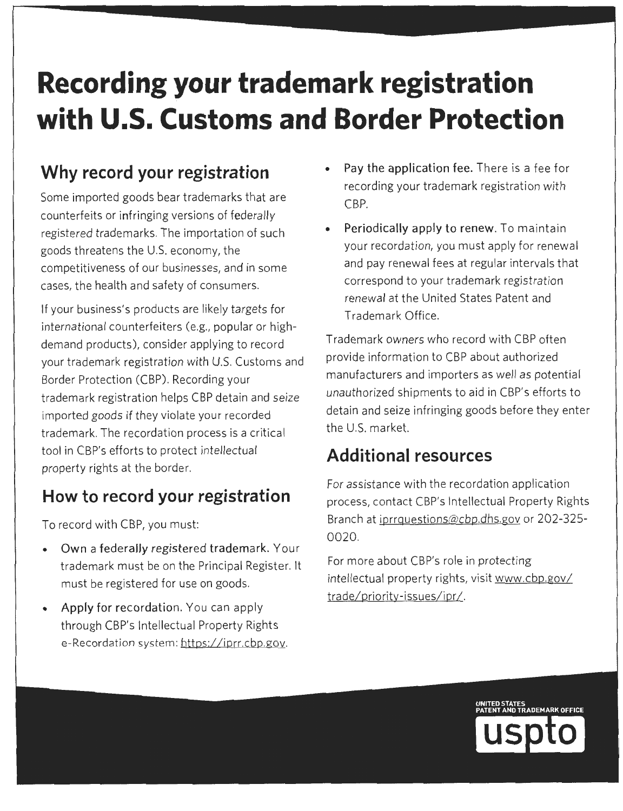# **Recording your trademark registration with U.S. Customs and Border Protection**

# **Why record your registration**

Some imported goods bear trademarks that are counterfeits or infringing versions of federally registered trademarks. The importation of such goods threatens the U.S. economy, the competitiveness of our businesses, and in some cases, the health and safety of consumers.

If your business's products are likely targets for international counterfeiters (e.g., popular or highdemand products), consider applying to record your trademark registration with U.S. Customs and Border Protection (CBP). Recording your trademark registration helps CBP detain and seize imported goods if they violate your recorded trademark. The recordation process is a critical tool in CBP's efforts to protect intellectual property rights at the border.

## **How to record your registration**

To record with CBP, you must:

- **Own a federally registered trademark.** Your trademark must be on the Principal Register. It must be registered for use on goods.
- **Apply for recordation.** You can apply through CBP's Intellectual Property Rights e-Recordation system: https://iprr.cbp.gov.
- **Pay the application fee.** There is a fee for recording your trademark registration with CBP.
- Periodically apply to renew. To maintain your recordation, you must apply for renewal and pay renewal fees at regular intervals that correspond to your trademark registration renewal at the United States Patent and Trademark Office.

Trademark owners who record with CBP often provide information to CBP about authorized manufacturers and importers as well as potential unauthorized shipments to aid in CBP's efforts to detain and seize infringing goods before they enter the U.S. market.

## **Additional resources**

For assistance with the recordation application process, contact CBP's Intellectual Property Rights Branch at iprrquestions@cbp.dhs.gov or 202-325- 0020.

For more about CBP's role in protecting intellectual property rights, visit www.cbp.gov/ trade/priority-issues/ipr /.

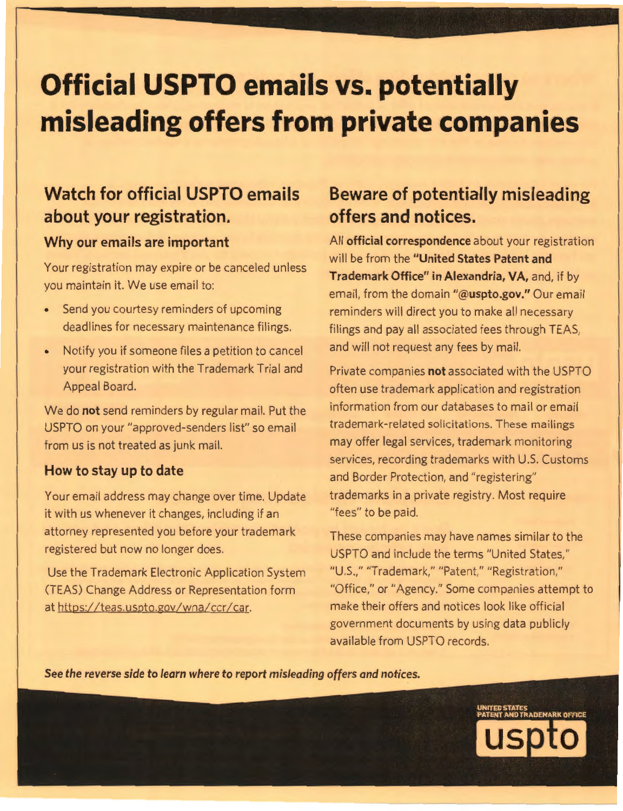# **Official USPTO emails vs. potentially misleading offers from private companies**

### **Watch for official USPTO emails about your registration.**

### **Why our emails are important**

Your registration may expire or be canceled unless you maintain it. We use email to:

- Send you courtesy reminders of upcoming deadlines for necessary maintenance filings.
- Notify you if someone files a petition to cancel your registration with the Trademark Trial and Appeal Board.

We do **not** send reminders by regular mail. Put the USPTO on your "approved-senders list" so email from us is not treated as junk mail.

### **How to stay up to date**

Your email address may change over time. Update it with us whenever it changes, including if an attorney represented you before your trademark registered but now no longer does.

Use the Trademark Electronic Application System (TEAS) Change Address or Representation form at https://teas.uspto.gov/wna/ccr /car.

## **Beware of potentially misleading offers and notices.**

All **official correspondence** about your registration will be from the **"United States Patent and Trademark Office" in Alexandria, VA,** and, if by email, from the domain **"@uspto.gov."** Our email reminders will direct you to make all necessary filings and pay all associated fees through TEAS, and will not request any fees by mail.

Private companies not associated with the USPTO often use trademark application and registration information from our databases to mail or email trademark-related solicitations. These mailings may offer legal services, trademark monitoring services, recording trademarks with U.S. Customs and Border Protection, and "registering" trademarks in a private registry. Most require "fees" to be paid.

These companies may have names similar to the USPTO and include the terms "United States," "U.S.," "Trademark," "Patent," "Registration," "Office," or "Agency." Some companies attempt to make their offers and notices look like official government documents by using data publicly available from USPTO records.

*See the reverse side to learn where* **to** *report misleading offers and notices.* 

**UNITED STATES PATENT AND TRADEMARK OFFICE**